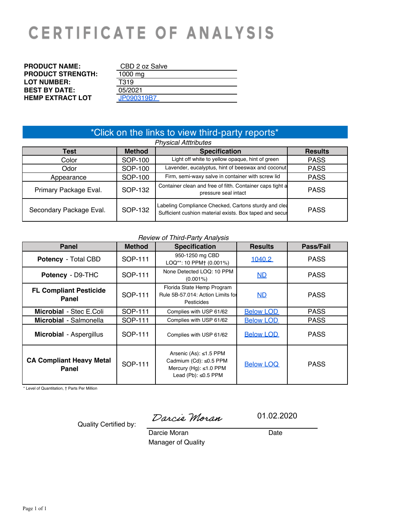# **CERTIFICATE OF ANALYSIS**

| <b>PRODUCT NAME:</b>     | CBD 2 oz Salve |
|--------------------------|----------------|
| <b>PRODUCT STRENGTH:</b> | 1000 mg        |
| <b>LOT NUMBER:</b>       | T319           |
| <b>BEST BY DATE:</b>     | 05/2021        |
| <b>HEMP EXTRACT LOT</b>  | JP090319B7     |

# \*Click on the links to view third-party reports\*

| Test                    | <b>Method</b> | <b>Specification</b>                                                                                            | <b>Results</b> |
|-------------------------|---------------|-----------------------------------------------------------------------------------------------------------------|----------------|
| Color                   | SOP-100       | Light off white to yellow opaque, hint of green                                                                 | <b>PASS</b>    |
| Odor                    | SOP-100       | Lavender, eucalyptus, hint of beeswax and coconut                                                               | <b>PASS</b>    |
| Appearance              | SOP-100       | Firm, semi-waxy salve in container with screw lid                                                               | <b>PASS</b>    |
| Primary Package Eval.   | SOP-132       | Container clean and free of filth. Container caps tight a<br>pressure seal intact                               | <b>PASS</b>    |
| Secondary Package Eval. | SOP-132       | Labeling Compliance Checked, Cartons sturdy and clea<br>Sufficient cushion material exists. Box taped and secur | <b>PASS</b>    |

## *Review of Third-Party Analysis*

| <b>Panel</b>                             | <b>Method</b> | <b>Specification</b>                                                                                          | <b>Results</b>   | Pass/Fail   |
|------------------------------------------|---------------|---------------------------------------------------------------------------------------------------------------|------------------|-------------|
| <b>Potency - Total CBD</b>               | SOP-111       | 950-1250 mg CBD<br>LOQ**: 10 PPM+ (0.001%)                                                                    | 1040.2           | <b>PASS</b> |
| Potency - D9-THC                         | SOP-111       | None Detected LOQ: 10 PPM<br>$(0.001\%)$                                                                      | MD               | <b>PASS</b> |
| <b>FL Compliant Pesticide</b><br>Panel   | SOP-111       | Florida State Hemp Program<br>Rule 5B-57.014: Action Limits for<br>Pesticides                                 | <u>ND</u>        |             |
| Microbial - Stec E.Coli                  | SOP-111       | Complies with USP 61/62                                                                                       | <b>Below LOD</b> | <b>PASS</b> |
| Microbial - Salmonella                   | SOP-111       | Complies with USP 61/62                                                                                       | <b>Below LOD</b> | <b>PASS</b> |
| Microbial - Aspergillus                  | SOP-111       | Complies with USP 61/62                                                                                       | <b>Below LOD</b> | <b>PASS</b> |
| <b>CA Compliant Heavy Metal</b><br>Panel | SOP-111       | Arsenic (As): $\leq$ 1.5 PPM<br>Cadmium (Cd): ≤0.5 PPM<br>Mercury (Hg): ≤1.0 PPM<br>Lead (Pb): $\leq 0.5$ PPM | <b>Below LOQ</b> | <b>PASS</b> |

\* Level of Quantitation, † Parts Per Million

Quality Certified by:

Darcie Moran

01.02.2020

Date

Manager of Quality Darcie Moran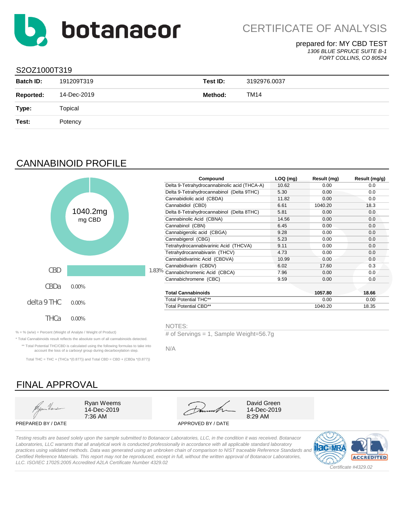<span id="page-1-0"></span>

# prepared for: MY CBD TEST

*1306 BLUE SPRUCE SUITE B-1 FORT COLLINS, CO 80524*

## S2OZ1000T319

| <b>Batch ID:</b> | 191209T319  | Test ID:       | 3192976.0037 |
|------------------|-------------|----------------|--------------|
| <b>Reported:</b> | 14-Dec-2019 | <b>Method:</b> | <b>TM14</b>  |
| Type:            | Topical     |                |              |
| Test:            | Potency     |                |              |
|                  |             |                |              |

# CANNABINOID PROFILE



\* Total Cannabinoids result reflects the absolute sum of all cannabinoids detected. \*\* Total Potential THC/CBD is calculated using the following formulas to take into account the loss of a carboxyl group during decarboxylation step. Total THC = THC + (THCa  $*(0.877)$ ) and Total CBD = CBD + (CBDa  $*(0.877)$ )

|         |       | Compound                                     | $LOQ$ (mg) | Result (mg) | Result (mg/g) |
|---------|-------|----------------------------------------------|------------|-------------|---------------|
|         |       | Delta 9-Tetrahydrocannabinolic acid (THCA-A) | 10.62      | 0.00        | 0.0           |
|         |       | Delta 9-Tetrahydrocannabinol (Delta 9THC)    | 5.30       | 0.00        | 0.0           |
|         |       | Cannabidiolic acid (CBDA)                    | 11.82      | 0.00        | 0.0           |
|         |       | Cannabidiol (CBD)                            | 6.61       | 1040.20     | 18.3          |
| 040.2mg |       | Delta 8-Tetrahydrocannabinol (Delta 8THC)    | 5.81       | 0.00        | 0.0           |
| mg CBD  |       | Cannabinolic Acid (CBNA)                     | 14.56      | 0.00        | 0.0           |
|         |       | Cannabinol (CBN)                             | 6.45       | 0.00        | 0.0           |
|         |       | Cannabigerolic acid (CBGA)                   | 9.28       | 0.00        | 0.0           |
|         |       | Cannabigerol (CBG)                           | 5.23       | 0.00        | 0.0           |
|         |       | Tetrahydrocannabivarinic Acid (THCVA)        | 9.11       | 0.00        | 0.0           |
|         |       | Tetrahydrocannabivarin (THCV)                | 4.73       | 0.00        | 0.0           |
|         |       | Cannabidivarinic Acid (CBDVA)                | 10.99      | 0.00        | 0.0           |
|         |       | Cannabidivarin (CBDV)                        | 6.02       | 17.60       | 0.3           |
|         | 1.83% | Cannabichromenic Acid (CBCA)                 | 7.96       | 0.00        | 0.0           |
|         |       | Cannabichromene (CBC)                        | 9.59       | 0.00        | 0.0           |
| 0%      |       |                                              |            |             |               |
|         |       | <b>Total Cannabinoids</b>                    |            | 1057.80     | 18.66         |
| 0%      |       | <b>Total Potential THC**</b>                 |            | 0.00        | 0.00          |
|         |       | <b>Total Potential CBD**</b>                 |            | 1040.20     | 18.35         |

NOTES:

% = % (w/w) = Percent (Weight of Analyte / Weight of Product) # of Servings = 1, Sample Weight=56.7g

N/A

FINAL APPROVAL 7:36 AM 8:29 AM Ryan Weems **David Green** 14-Dec-2019

PREPARED BY / DATE APPROVED BY / DATE



14-Dec-2019

*Testing results are based solely upon the sample submitted to Botanacor Laboratories, LLC, in the condition it was received. Botanacor Laboratories, LLC warrants that all analytical work is conducted professionally in accordance with all applicable standard laboratory practices using validated methods. Data was generated using an unbroken chain of comparison to NIST traceable Reference Standards and Certified Reference Materials. This report may not be reproduced, except in full, without the written approval of Botanacor Laboratories, LLC. ISO/IEC 17025:2005 Accredited A2LA Certificate Number 4329.02*



Ó (ca)aa8(¦Ášaaà[¦aa{¦aN•ï ÉÁOE]AÜat@o ÁÜ^+^¦ç^åÁÁdaF<del>GET</del>ÁÜBĂÕaqaa}as[ÁÙdBĂÖY)ç^¦BÁÔUÁi€GGHÁÁÓÁÅÌÌÈİ∈<del>CE</del>ÌGGHÁÁÓÁŸ, ÈÓ (ca)aa8(¦È& [{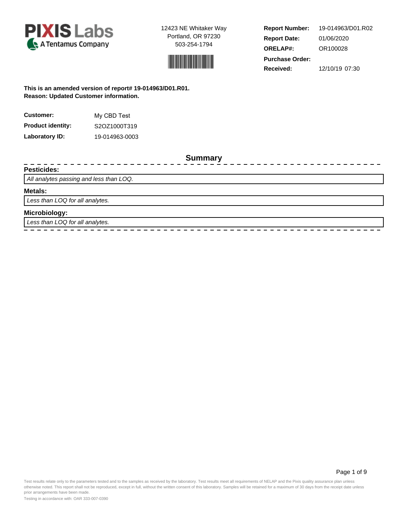



**Report Number: Report Date: ORELAP#:** 01/06/2020 OR100028 **Received:** 12/10/19 07:30 **Purchase Order:** 19-014963/D01.R02

## **This is an amended version of report# 19-014963/D01.R01. Reason: Updated Customer information.**

| <b>Customer:</b>         | My CBD Test    |  |  |  |
|--------------------------|----------------|--|--|--|
| <b>Product identity:</b> | S2OZ1000T319   |  |  |  |
| Laboratory ID:           | 19-014963-0003 |  |  |  |

**Summary**

#### **Pesticides:**

All analytes passing and less than LOQ.

#### **Metals:**

Less than LOQ for all analytes.

#### **Microbiology:**

Less than LOQ for all analytes.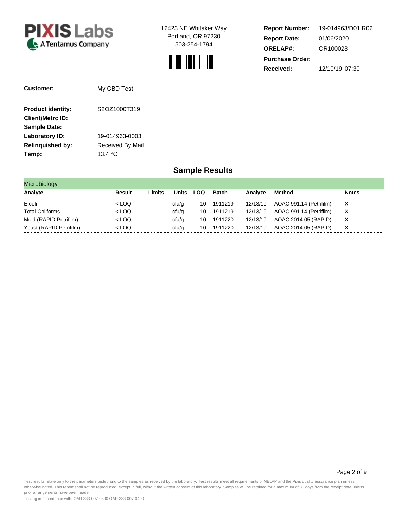<span id="page-3-0"></span>



**Report Number: Report Date: ORELAP#:** 01/06/2020 OR100028 **Received:** 12/10/19 07:30 **Purchase Order:** 19-014963/D01.R02

| Customer:                | My CBD Test       |  |  |
|--------------------------|-------------------|--|--|
| <b>Product identity:</b> | S2OZ1000T319      |  |  |
| <b>Client/Metrc ID:</b>  |                   |  |  |
| <b>Sample Date:</b>      |                   |  |  |
| Laboratory ID:           | 19-014963-0003    |  |  |
| <b>Relinguished by:</b>  | Received By Mail  |  |  |
| Temp:                    | 13.4 $^{\circ}$ C |  |  |

# **Sample Results**

| <b>Microbiology</b>     |         |        |              |     |         |          |                         |              |
|-------------------------|---------|--------|--------------|-----|---------|----------|-------------------------|--------------|
| Analyte                 | Result  | Limits | <b>Units</b> | LOQ | Batch   | Analyze  | Method                  | <b>Notes</b> |
| E.coli                  | $<$ LOQ |        | cfu/g        | 10  | 1911219 | 12/13/19 | AOAC 991.14 (Petrifilm) | X            |
| <b>Total Coliforms</b>  | $<$ LOQ |        | cfu/g        | 10  | 1911219 | 12/13/19 | AOAC 991.14 (Petrifilm) | X            |
| Mold (RAPID Petrifilm)  | $<$ LOQ |        | cfu/g        | 10  | 1911220 | 12/13/19 | AOAC 2014.05 (RAPID)    | х            |
| Yeast (RAPID Petrifilm) | $<$ LOQ |        | cfu/g        | 10  | 1911220 | 12/13/19 | AOAC 2014.05 (RAPID)    | X            |

Page 2 of 9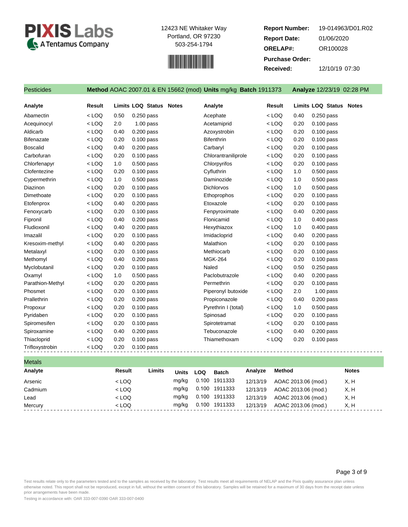<span id="page-4-0"></span>



**Report Number: Report Date: ORELAP#:** 01/06/2020 OR100028 **Received:** 12/10/19 07:30 **Purchase Order:** 19-014963/D01.R02

| <b>Pesticides</b> |         |      |                                | Method AOAC 2007.01 & EN 15662 (mod) Units mg/kg Batch 1911373 |         |      | Analyze 12/23/19 02:28 PM      |
|-------------------|---------|------|--------------------------------|----------------------------------------------------------------|---------|------|--------------------------------|
| Analyte           | Result  |      | <b>Limits LOQ Status Notes</b> | Analyte                                                        | Result  |      | <b>Limits LOQ Status Notes</b> |
| Abamectin         | $<$ LOQ | 0.50 | $0.250$ pass                   | Acephate                                                       | $<$ LOQ | 0.40 | $0.250$ pass                   |
| Acequinocyl       | $<$ LOQ | 2.0  | $1.00$ pass                    | Acetamiprid                                                    | $<$ LOQ | 0.20 | $0.100$ pass                   |
| Aldicarb          | $<$ LOQ | 0.40 | 0.200 pass                     | Azoxystrobin                                                   | $<$ LOQ | 0.20 | 0.100 pass                     |
| Bifenazate        | $<$ LOQ | 0.20 | $0.100$ pass                   | <b>Bifenthrin</b>                                              | $<$ LOQ | 0.20 | $0.100$ pass                   |
| <b>Boscalid</b>   | $<$ LOQ | 0.40 | $0.200$ pass                   | Carbaryl                                                       | $<$ LOQ | 0.20 | $0.100$ pass                   |
| Carbofuran        | $<$ LOQ | 0.20 | $0.100$ pass                   | Chlorantraniliprole                                            | $<$ LOQ | 0.20 | $0.100$ pass                   |
| Chlorfenapyr      | $<$ LOQ | 1.0  | $0.500$ pass                   | Chlorpyrifos                                                   | $<$ LOQ | 0.20 | $0.100$ pass                   |
| Clofentezine      | $<$ LOQ | 0.20 | $0.100$ pass                   | Cyfluthrin                                                     | $<$ LOQ | 1.0  | $0.500$ pass                   |
| Cypermethrin      | $<$ LOQ | 1.0  | $0.500$ pass                   | Daminozide                                                     | $<$ LOQ | 1.0  | $0.500$ pass                   |
| Diazinon          | $<$ LOQ | 0.20 | $0.100$ pass                   | <b>Dichlorvos</b>                                              | $<$ LOQ | 1.0  | $0.500$ pass                   |
| Dimethoate        | $<$ LOQ | 0.20 | $0.100$ pass                   | Ethoprophos                                                    | $<$ LOQ | 0.20 | $0.100$ pass                   |
| Etofenprox        | $<$ LOQ | 0.40 | $0.200$ pass                   | Etoxazole                                                      | $<$ LOQ | 0.20 | $0.100$ pass                   |
| Fenoxycarb        | $<$ LOQ | 0.20 | $0.100$ pass                   | Fenpyroximate                                                  | $<$ LOQ | 0.40 | $0.200$ pass                   |
| Fipronil          | $<$ LOQ | 0.40 | $0.200$ pass                   | Flonicamid                                                     | $<$ LOQ | 1.0  | $0.400$ pass                   |
| Fludioxonil       | $<$ LOQ | 0.40 | $0.200$ pass                   | Hexythiazox                                                    | $<$ LOQ | 1.0  | 0.400 pass                     |
| Imazalil          | $<$ LOQ | 0.20 | $0.100$ pass                   | Imidacloprid                                                   | $<$ LOQ | 0.40 | 0.200 pass                     |
| Kresoxim-methyl   | $<$ LOQ | 0.40 | $0.200$ pass                   | Malathion                                                      | $<$ LOQ | 0.20 | $0.100$ pass                   |
| Metalaxyl         | $<$ LOQ | 0.20 | $0.100$ pass                   | Methiocarb                                                     | $<$ LOQ | 0.20 | $0.100$ pass                   |
| Methomyl          | $<$ LOQ | 0.40 | $0.200$ pass                   | <b>MGK-264</b>                                                 | $<$ LOQ | 0.20 | $0.100$ pass                   |
| Myclobutanil      | $<$ LOQ | 0.20 | $0.100$ pass                   | Naled                                                          | $<$ LOQ | 0.50 | $0.250$ pass                   |
| Oxamyl            | $<$ LOQ | 1.0  | 0.500 pass                     | Paclobutrazole                                                 | $<$ LOQ | 0.40 | 0.200 pass                     |
| Parathion-Methyl  | $<$ LOQ | 0.20 | $0.200$ pass                   | Permethrin                                                     | $<$ LOQ | 0.20 | $0.100$ pass                   |
| Phosmet           | $<$ LOQ | 0.20 | $0.100$ pass                   | Piperonyl butoxide                                             | $<$ LOQ | 2.0  | $1.00$ pass                    |
| Prallethrin       | $<$ LOQ | 0.20 | $0.200$ pass                   | Propiconazole                                                  | $<$ LOQ | 0.40 | $0.200$ pass                   |
| Propoxur          | $<$ LOQ | 0.20 | $0.100$ pass                   | Pyrethrin I (total)                                            | $<$ LOQ | 1.0  | $0.500$ pass                   |
| Pyridaben         | $<$ LOQ | 0.20 | 0.100 pass                     | Spinosad                                                       | $<$ LOQ | 0.20 | 0.100 pass                     |
| Spiromesifen      | $<$ LOQ | 0.20 | $0.100$ pass                   | Spirotetramat                                                  | $<$ LOQ | 0.20 | $0.100$ pass                   |
| Spiroxamine       | $<$ LOQ | 0.40 | $0.200$ pass                   | Tebuconazole                                                   | $<$ LOQ | 0.40 | $0.200$ pass                   |
| Thiacloprid       | $<$ LOQ | 0.20 | $0.100$ pass                   | Thiamethoxam                                                   | $<$ LOQ | 0.20 | 0.100 pass                     |
| Trifloxystrobin   | $<$ LOQ | 0.20 | 0.100 pass                     | -------------------------------                                |         |      |                                |

| <b>Metals</b> |         |        |              |            |              |          |                     |              |  |
|---------------|---------|--------|--------------|------------|--------------|----------|---------------------|--------------|--|
| Analyte       | Result  | Limits | <b>Units</b> | <b>LOQ</b> | <b>Batch</b> | Analyze  | <b>Method</b>       | <b>Notes</b> |  |
| Arsenic       | $<$ LOQ |        | mg/kg        | 0.100      | 1911333      | 12/13/19 | AOAC 2013.06 (mod.) | X, H         |  |
| Cadmium       | $<$ LOQ |        | mg/kg        | 0.100      | 1911333      | 12/13/19 | AOAC 2013.06 (mod.) | X, H         |  |
| Lead          | $<$ LOQ |        | mg/kg        | 0.100      | 1911333      | 12/13/19 | AOAC 2013.06 (mod.) | X, H         |  |
| Mercury       | $<$ LOQ |        | mg/kg        | 0.100      | 1911333      | 12/13/19 | AOAC 2013.06 (mod.) | X, H         |  |
|               |         |        |              |            |              |          |                     |              |  |

#### Page 3 of 9

Test results relate only to the parameters tested and to the samples as received by the laboratory. Test results meet all requirements of NELAP and the Pixis quality assurance plan unless otherwise noted. This report shall not be reproduced, except in full, without the written consent of this laboratory. Samples will be retained for a maximum of 30 days from the receipt date unless prior arrangements have been made.

Testing in accordance with: OAR 333-007-0390 OAR 333-007-0400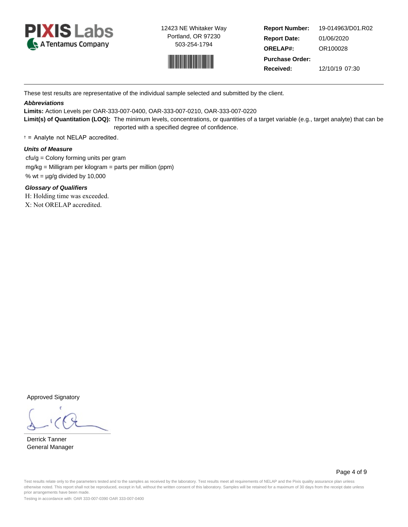



**Report Number: Report Date: ORELAP#:** 01/06/2020 OR100028 **Received:** 12/10/19 07:30 **Purchase Order:** 19-014963/D01.R02

These test results are representative of the individual sample selected and submitted by the client.

### **Abbreviations**

**Limits:** Action Levels per OAR-333-007-0400, OAR-333-007-0210, OAR-333-007-0220

**Limit(s) of Quantitation (LOQ):** The minimum levels, concentrations, or quantities of a target variable (e.g., target analyte) that can be reported with a specified degree of confidence.

† = Analyte not NELAP accredited.

#### **Units of Measure**

 cfu/g = Colony forming units per gram mg/kg = Milligram per kilogram = parts per million (ppm) % wt =  $\mu$ g/g divided by 10,000

**Glossary of Qualifiers** H: Holding time was exceeded. X: Not ORELAP accredited.

Approved Signatory

Derrick Tanner General Manager

Page 4 of 9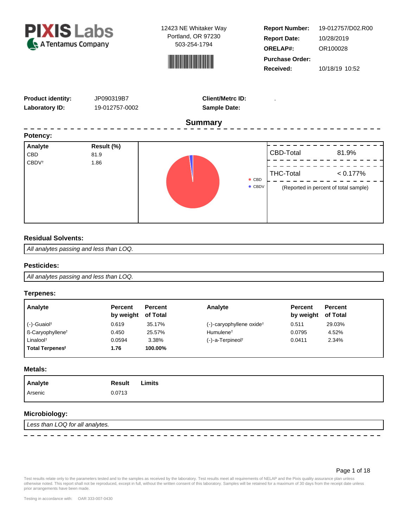<span id="page-6-0"></span>



**Report Number: Report Date: ORELAP#:** 10/28/2019 OR100028 **Received:** 10/18/19 10:52 **Purchase Order:** 19-012757/D02.R00

| <b>Product identity:</b><br><b>Laboratory ID:</b> | JP090319B7<br>19-012757-0002 | <b>Client/Metrc ID:</b><br><b>Sample Date:</b> |                               |                                                               |
|---------------------------------------------------|------------------------------|------------------------------------------------|-------------------------------|---------------------------------------------------------------|
|                                                   |                              | <b>Summary</b>                                 |                               |                                                               |
| Potency:                                          |                              |                                                |                               |                                                               |
| Analyte<br><b>CBD</b><br><b>CBDV</b> <sup>t</sup> | Result (%)<br>81.9<br>1.86   | $\bullet$ CBD<br>$\bullet$ CBDV                | CBD-Total<br><b>THC-Total</b> | 81.9%<br>$< 0.177\%$<br>(Reported in percent of total sample) |

## **Residual Solvents:**

All analytes passing and less than LOQ.

#### **Pesticides:**

All analytes passing and less than LOQ.

#### **Terpenes:**

| Analyte                             | <b>Percent</b><br>by weight of Total | <b>Percent</b> | Analyte                                 | <b>Percent</b><br>by weight | <b>Percent</b><br>of Total |
|-------------------------------------|--------------------------------------|----------------|-----------------------------------------|-----------------------------|----------------------------|
| $(-)$ -Guaiol <sup>†</sup>          | 0.619                                | 35.17%         | $(-)$ -caryophyllene oxide <sup>†</sup> | 0.511                       | 29.03%                     |
| <b>B-Caryophyllene</b> <sup>†</sup> | 0.450                                | 25.57%         | Humulene <sup>†</sup>                   | 0.0795                      | 4.52%                      |
| Linalool <sup>t</sup>               | 0.0594                               | 3.38%          | $(-)$ -a-Terpineol <sup>†</sup>         | 0.0411                      | 2.34%                      |
| Total Terpenes <sup>t</sup>         | 1.76                                 | 100.00%        |                                         |                             |                            |

**Metals:**

# **Microbiology:**

Less than LOQ for all analytes.

 $\frac{1}{2}$ 

Page 1 of 18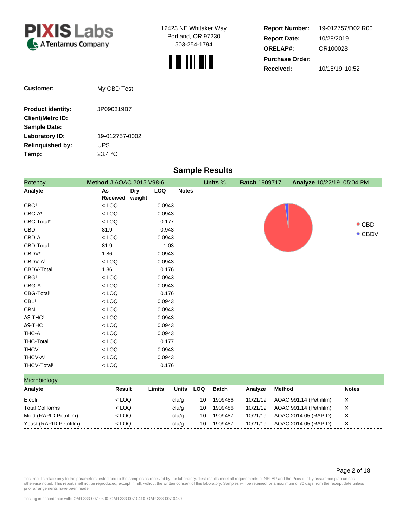



**Report Number: Report Date: ORELAP#:** 10/28/2019 OR100028 **Received:** 10/18/19 10:52 **Purchase Order:** 19-012757/D02.R00

| <b>Customer:</b>         | My CBD Test    |
|--------------------------|----------------|
| <b>Product identity:</b> | JP090319B7     |
| <b>Client/Metrc ID:</b>  | ٠              |
| <b>Sample Date:</b>      |                |
| Laboratory ID:           | 19-012757-0002 |
| <b>Relinguished by:</b>  | UPS            |
| Temp:                    | 23.4 °C        |

# **Sample Results**

| Potency                     | <b>Method J AOAC 2015 V98-6</b> |                      |            |              | Units % | <b>Batch 1909717</b> | Analyze 10/22/19 05:04 PM |                |
|-----------------------------|---------------------------------|----------------------|------------|--------------|---------|----------------------|---------------------------|----------------|
| Analyte                     | As<br>Received                  | <b>Dry</b><br>weight | <b>LOQ</b> | <b>Notes</b> |         |                      |                           |                |
| $CBC^{\dagger}$             | $<$ LOQ                         |                      | 0.0943     |              |         |                      |                           |                |
| $CBC-A^{\dagger}$           | $<$ LOQ                         |                      | 0.0943     |              |         |                      |                           |                |
| CBC-Total <sup>t</sup>      | $<$ LOQ                         |                      | 0.177      |              |         |                      |                           | $\bullet$ CBD  |
| CBD                         | 81.9                            |                      | 0.943      |              |         |                      |                           |                |
| CBD-A                       | $<$ LOQ                         |                      | 0.0943     |              |         |                      |                           | $\bullet$ CBDV |
| CBD-Total                   | 81.9                            |                      | 1.03       |              |         |                      |                           |                |
| <b>CBDV</b> <sup>t</sup>    | 1.86                            |                      | 0.0943     |              |         |                      |                           |                |
| CBDV-A <sup>t</sup>         | $<$ LOQ                         |                      | 0.0943     |              |         |                      |                           |                |
| CBDV-Total <sup>t</sup>     | 1.86                            |                      | 0.176      |              |         |                      |                           |                |
| $CBG^{\dagger}$             | $<$ LOQ                         |                      | 0.0943     |              |         |                      |                           |                |
| $CBG-A^{\dagger}$           | $<$ LOQ                         |                      | 0.0943     |              |         |                      |                           |                |
| CBG-Total <sup>t</sup>      | $<$ LOQ                         |                      | 0.176      |              |         |                      |                           |                |
| $CBL$ <sup>†</sup>          | $<$ LOQ                         |                      | 0.0943     |              |         |                      |                           |                |
| <b>CBN</b>                  | $<$ LOQ                         |                      | 0.0943     |              |         |                      |                           |                |
| $\Delta$ 8-THC <sup>+</sup> | $<$ LOQ                         |                      | 0.0943     |              |         |                      |                           |                |
| $\Delta$ 9-THC              | $<$ LOQ                         |                      | 0.0943     |              |         |                      |                           |                |
| THC-A                       | $<$ LOQ                         |                      | 0.0943     |              |         |                      |                           |                |
| THC-Total                   | $<$ LOQ                         |                      | 0.177      |              |         |                      |                           |                |
| <b>THCV<sup>t</sup></b>     | $<$ LOQ                         |                      | 0.0943     |              |         |                      |                           |                |
| THCV-A <sup>t</sup>         | $<$ LOQ                         |                      | 0.0943     |              |         |                      |                           |                |
| THCV-Total <sup>t</sup>     | $<$ LOQ                         |                      | 0.176      |              |         |                      |                           |                |
| Microbiology                |                                 |                      |            |              |         |                      |                           |                |

| _______________         |         |        |              |     |         |          |                         |              |
|-------------------------|---------|--------|--------------|-----|---------|----------|-------------------------|--------------|
| Analyte                 | Result  | Limits | <b>Units</b> | LOQ | Batch   | Analvze  | Method                  | <b>Notes</b> |
| E.coli                  | $<$ LOQ |        | cfu/g        | 10  | 1909486 | 10/21/19 | AOAC 991.14 (Petrifilm) | X            |
| <b>Total Coliforms</b>  | $<$ LOQ |        | cfu/g        | 10  | 1909486 | 10/21/19 | AOAC 991.14 (Petrifilm) | х            |
| Mold (RAPID Petrifilm)  | $<$ LOQ |        | cfu/g        | 10  | 1909487 | 10/21/19 | AOAC 2014.05 (RAPID)    | х            |
| Yeast (RAPID Petrifilm) | $<$ LOQ |        | cfu/g        | 10  | 1909487 | 10/21/19 | AOAC 2014.05 (RAPID)    | X            |
|                         |         |        |              |     |         |          |                         |              |

#### Page 2 of 18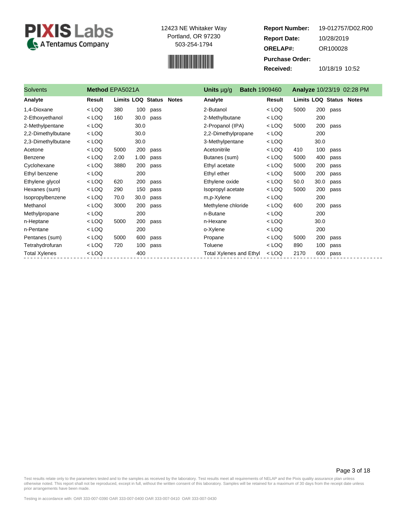



**Report Number: Report Date: ORELAP#:** 10/28/2019 OR100028 **Received:** 10/18/19 10:52 **Purchase Order:** 19-012757/D02.R00

| <b>Solvents</b>      | Method EPA5021A |                          |      |      |              | Units $\mu$ g/g                | <b>Batch 1909460</b> |         |                                |      |      | Analyze 10/23/19 02:28 PM |
|----------------------|-----------------|--------------------------|------|------|--------------|--------------------------------|----------------------|---------|--------------------------------|------|------|---------------------------|
| Analyte              | Result          | <b>Limits LOQ Status</b> |      |      | <b>Notes</b> | Analyte                        |                      | Result  | <b>Limits LOQ Status Notes</b> |      |      |                           |
| 1,4-Dioxane          | $<$ LOQ         | 380                      | 100  | pass |              | 2-Butanol                      |                      | $<$ LOQ | 5000                           | 200  | pass |                           |
| 2-Ethoxyethanol      | $<$ LOQ         | 160                      | 30.0 | pass |              | 2-Methylbutane                 |                      | $<$ LOQ |                                | 200  |      |                           |
| 2-Methylpentane      | $<$ LOQ         |                          | 30.0 |      |              | 2-Propanol (IPA)               |                      | $<$ LOQ | 5000                           | 200  | pass |                           |
| 2,2-Dimethylbutane   | $<$ LOQ         |                          | 30.0 |      |              | 2,2-Dimethylpropane            |                      | $<$ LOQ |                                | 200  |      |                           |
| 2,3-Dimethylbutane   | $<$ LOQ         |                          | 30.0 |      |              | 3-Methylpentane                |                      | $<$ LOQ |                                | 30.0 |      |                           |
| Acetone              | $<$ LOQ         | 5000                     | 200  | pass |              | Acetonitrile                   |                      | $<$ LOQ | 410                            | 100  | pass |                           |
| Benzene              | $<$ LOQ         | 2.00                     | 1.00 | pass |              | Butanes (sum)                  |                      | $<$ LOQ | 5000                           | 400  | pass |                           |
| Cyclohexane          | $<$ LOQ         | 3880                     | 200  | pass |              | Ethyl acetate                  |                      | $<$ LOQ | 5000                           | 200  | pass |                           |
| Ethyl benzene        | $<$ LOQ         |                          | 200  |      |              | Ethyl ether                    |                      | $<$ LOQ | 5000                           | 200  | pass |                           |
| Ethylene glycol      | $<$ LOQ         | 620                      | 200  | pass |              | Ethylene oxide                 |                      | $<$ LOQ | 50.0                           | 30.0 | pass |                           |
| Hexanes (sum)        | $<$ LOQ         | 290                      | 150  | pass |              | Isopropyl acetate              |                      | $<$ LOQ | 5000                           | 200  | pass |                           |
| Isopropylbenzene     | $<$ LOQ         | 70.0                     | 30.0 | pass |              | m,p-Xylene                     |                      | $<$ LOQ |                                | 200  |      |                           |
| Methanol             | $<$ LOQ         | 3000                     | 200  | pass |              | Methylene chloride             |                      | $<$ LOQ | 600                            | 200  | pass |                           |
| Methylpropane        | $<$ LOQ         |                          | 200  |      |              | n-Butane                       |                      | $<$ LOQ |                                | 200  |      |                           |
| n-Heptane            | $<$ LOQ         | 5000                     | 200  | pass |              | n-Hexane                       |                      | $<$ LOQ |                                | 30.0 |      |                           |
| n-Pentane            | $<$ LOQ         |                          | 200  |      |              | o-Xylene                       |                      | $<$ LOQ |                                | 200  |      |                           |
| Pentanes (sum)       | $<$ LOQ         | 5000                     | 600  | pass |              | Propane                        |                      | $<$ LOQ | 5000                           | 200  | pass |                           |
| Tetrahydrofuran      | $<$ LOQ         | 720                      | 100  | pass |              | Toluene                        |                      | $<$ LOQ | 890                            | 100  | pass |                           |
| <b>Total Xylenes</b> | $<$ LOQ         |                          | 400  |      |              | <b>Total Xylenes and Ethyl</b> |                      | $<$ LOQ | 2170                           | 600  | pass |                           |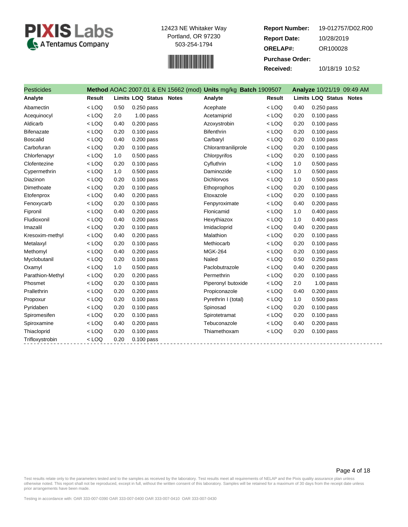



**Report Number: Report Date: ORELAP#:** 10/28/2019 OR100028 **Received:** 10/18/19 10:52 **Purchase Order:** 19-012757/D02.R00

| <b>Pesticides</b> |               |      |                                | Method AOAC 2007.01 & EN 15662 (mod) Units mg/kg Batch 1909507 |               |      | Analyze 10/21/19 09:49 AM |
|-------------------|---------------|------|--------------------------------|----------------------------------------------------------------|---------------|------|---------------------------|
| Analyte           | <b>Result</b> |      | <b>Limits LOQ Status Notes</b> | Analyte                                                        | <b>Result</b> |      | Limits LOQ Status Notes   |
| Abamectin         | $<$ LOQ       | 0.50 | 0.250 pass                     | Acephate                                                       | $<$ LOQ       | 0.40 | $0.250$ pass              |
| Acequinocyl       | $<$ LOQ       | 2.0  | $1.00$ pass                    | Acetamiprid                                                    | $<$ LOQ       | 0.20 | $0.100$ pass              |
| Aldicarb          | $<$ LOQ       | 0.40 | $0.200$ pass                   | Azoxystrobin                                                   | $<$ LOQ       | 0.20 | $0.100$ pass              |
| <b>Bifenazate</b> | $<$ LOQ       | 0.20 | 0.100 pass                     | <b>Bifenthrin</b>                                              | $<$ LOQ       | 0.20 | $0.100$ pass              |
| <b>Boscalid</b>   | $<$ LOQ       | 0.40 | $0.200$ pass                   | Carbaryl                                                       | $<$ LOQ       | 0.20 | $0.100$ pass              |
| Carbofuran        | $<$ LOQ       | 0.20 | $0.100$ pass                   | Chlorantraniliprole                                            | $<$ LOQ       | 0.20 | $0.100$ pass              |
| Chlorfenapyr      | $<$ LOQ       | 1.0  | 0.500 pass                     | Chlorpyrifos                                                   | $<$ LOQ       | 0.20 | $0.100$ pass              |
| Clofentezine      | $<$ LOQ       | 0.20 | 0.100 pass                     | Cyfluthrin                                                     | $<$ LOQ       | 1.0  | $0.500$ pass              |
| Cypermethrin      | $<$ LOQ       | 1.0  | 0.500 pass                     | Daminozide                                                     | $<$ LOQ       | 1.0  | $0.500$ pass              |
| Diazinon          | $<$ LOQ       | 0.20 | $0.100$ pass                   | Dichlorvos                                                     | $<$ LOQ       | 1.0  | 0.500 pass                |
| Dimethoate        | $<$ LOQ       | 0.20 | 0.100 pass                     | Ethoprophos                                                    | $<$ LOQ       | 0.20 | $0.100$ pass              |
| Etofenprox        | $<$ LOQ       | 0.40 | $0.200$ pass                   | Etoxazole                                                      | $<$ LOQ       | 0.20 | $0.100$ pass              |
| Fenoxycarb        | $<$ LOQ       | 0.20 | $0.100$ pass                   | Fenpyroximate                                                  | $<$ LOQ       | 0.40 | $0.200$ pass              |
| Fipronil          | $<$ LOQ       | 0.40 | 0.200 pass                     | Flonicamid                                                     | $<$ LOQ       | 1.0  | 0.400 pass                |
| Fludioxonil       | $<$ LOQ       | 0.40 | $0.200$ pass                   | Hexythiazox                                                    | $<$ LOQ       | 1.0  | $0.400$ pass              |
| Imazalil          | $<$ LOQ       | 0.20 | 0.100 pass                     | Imidacloprid                                                   | $<$ LOQ       | 0.40 | $0.200$ pass              |
| Kresoxim-methyl   | $<$ LOQ       | 0.40 | 0.200 pass                     | Malathion                                                      | $<$ LOQ       | 0.20 | $0.100$ pass              |
| Metalaxyl         | $<$ LOQ       | 0.20 | $0.100$ pass                   | Methiocarb                                                     | $<$ LOQ       | 0.20 | $0.100$ pass              |
| Methomyl          | $<$ LOQ       | 0.40 | $0.200$ pass                   | <b>MGK-264</b>                                                 | $<$ LOQ       | 0.20 | $0.100$ pass              |
| Myclobutanil      | $<$ LOQ       | 0.20 | $0.100$ pass                   | Naled                                                          | $<$ LOQ       | 0.50 | $0.250$ pass              |
| Oxamyl            | $<$ LOQ       | 1.0  | 0.500 pass                     | Paclobutrazole                                                 | $<$ LOQ       | 0.40 | $0.200$ pass              |
| Parathion-Methyl  | $<$ LOQ       | 0.20 | 0.200 pass                     | Permethrin                                                     | $<$ LOQ       | 0.20 | $0.100$ pass              |
| Phosmet           | $<$ LOQ       | 0.20 | 0.100 pass                     | Piperonyl butoxide                                             | $<$ LOQ       | 2.0  | $1.00$ pass               |
| Prallethrin       | $<$ LOQ       | 0.20 | $0.200$ pass                   | Propiconazole                                                  | $<$ LOQ       | 0.40 | $0.200$ pass              |
| Propoxur          | $<$ LOQ       | 0.20 | $0.100$ pass                   | Pyrethrin I (total)                                            | $<$ LOQ       | 1.0  | $0.500$ pass              |
| Pyridaben         | $<$ LOQ       | 0.20 | $0.100$ pass                   | Spinosad                                                       | $<$ LOQ       | 0.20 | $0.100$ pass              |
| Spiromesifen      | $<$ LOQ       | 0.20 | 0.100 pass                     | Spirotetramat                                                  | $<$ LOQ       | 0.20 | $0.100$ pass              |
| Spiroxamine       | $<$ LOQ       | 0.40 | 0.200 pass                     | Tebuconazole                                                   | $<$ LOQ       | 0.40 | $0.200$ pass              |
| Thiacloprid       | $<$ LOQ       | 0.20 | $0.100$ pass                   | Thiamethoxam                                                   | $<$ LOQ       | 0.20 | $0.100$ pass              |
| Trifloxystrobin   | $<$ LOQ       | 0.20 | $0.100$ pass                   |                                                                |               |      |                           |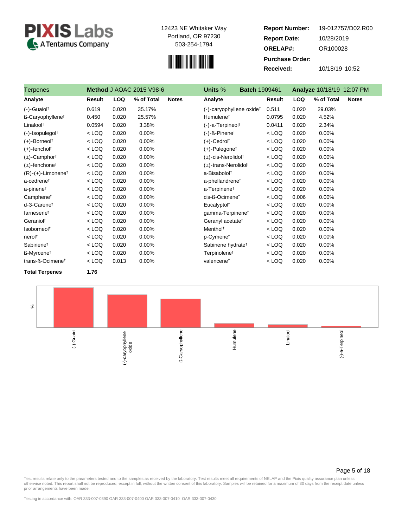



**Report Number: Report Date: ORELAP#:** 10/28/2019 OR100028 **Received:** 10/18/19 10:52 **Purchase Order:** 19-012757/D02.R00

| Terpenes                         | Method J AOAC 2015 V98-6 |            |            |              | Units %<br><b>Batch 1909461</b>       |         | Analyze 10/18/19 12:07 PM |                            |  |
|----------------------------------|--------------------------|------------|------------|--------------|---------------------------------------|---------|---------------------------|----------------------------|--|
| Analyte                          | Result                   | <b>LOQ</b> | % of Total | <b>Notes</b> | Analyte                               | Result  | <b>LOQ</b>                | % of Total<br><b>Notes</b> |  |
| $(-)$ -Guaiol <sup>†</sup>       | 0.619                    | 0.020      | 35.17%     |              | (-)-caryophyllene oxide <sup>+</sup>  | 0.511   | 0.020                     | 29.03%                     |  |
| ß-Caryophyllene <sup>t</sup>     | 0.450                    | 0.020      | 25.57%     |              | Humulene <sup>†</sup>                 | 0.0795  | 0.020                     | 4.52%                      |  |
| Linalool <sup>t</sup>            | 0.0594                   | 0.020      | 3.38%      |              | (-)-a-Terpineol <sup>+</sup>          | 0.0411  | 0.020                     | 2.34%                      |  |
| $(-)$ -Isopulegol <sup>†</sup>   | $<$ LOQ                  | 0.020      | 0.00%      |              | $(-)$ - $\beta$ -Pinene <sup>†</sup>  | $<$ LOQ | 0.020                     | 0.00%                      |  |
| $(+)$ -Borneol <sup>†</sup>      | $<$ LOQ                  | 0.020      | 0.00%      |              | $(+)$ -Cedrol <sup>†</sup>            | $<$ LOQ | 0.020                     | 0.00%                      |  |
| $(+)$ -fenchol <sup>†</sup>      | $<$ LOQ                  | 0.020      | 0.00%      |              | $(+)$ -Pulegone <sup>†</sup>          | $<$ LOQ | 0.020                     | 0.00%                      |  |
| $(\pm)$ -Camphor <sup>†</sup>    | $<$ LOQ                  | 0.020      | 0.00%      |              | $(\pm)$ -cis-Nerolidol <sup>†</sup>   | $<$ LOQ | 0.020                     | 0.00%                      |  |
| $(\pm)$ -fenchone <sup>†</sup>   | $<$ LOQ                  | 0.020      | 0.00%      |              | $(\pm)$ -trans-Nerolidol <sup>†</sup> | $<$ LOQ | 0.020                     | 0.00%                      |  |
| $(R)-(+)$ -Limonene <sup>†</sup> | $<$ LOQ                  | 0.020      | 0.00%      |              | a-Bisabolol <sup>+</sup>              | $<$ LOQ | 0.020                     | 0.00%                      |  |
| a-cedrene <sup>t</sup>           | $<$ LOQ                  | 0.020      | 0.00%      |              | a-phellandrene <sup>t</sup>           | $<$ LOQ | 0.020                     | 0.00%                      |  |
| a-pinene <sup>t</sup>            | $<$ LOQ                  | 0.020      | 0.00%      |              | a-Terpinene <sup>†</sup>              | $<$ LOQ | 0.020                     | 0.00%                      |  |
| Camphene <sup>t</sup>            | $<$ LOQ                  | 0.020      | 0.00%      |              | cis-ß-Ocimene <sup>t</sup>            | $<$ LOQ | 0.006                     | 0.00%                      |  |
| d-3-Carenet                      | $<$ LOQ                  | 0.020      | 0.00%      |              | Eucalyptol <sup>†</sup>               | $<$ LOQ | 0.020                     | 0.00%                      |  |
| farnesenet                       | $<$ LOQ                  | 0.020      | 0.00%      |              | gamma-Terpinene <sup>t</sup>          | $<$ LOQ | 0.020                     | 0.00%                      |  |
| Geraniol <sup>+</sup>            | $<$ LOQ                  | 0.020      | 0.00%      |              | Geranyl acetate <sup>†</sup>          | $<$ LOQ | 0.020                     | 0.00%                      |  |
| Isoborneol <sup>t</sup>          | $<$ LOQ                  | 0.020      | 0.00%      |              | Menthol <sup>†</sup>                  | $<$ LOQ | 0.020                     | 0.00%                      |  |
| nerol <sup>+</sup>               | $<$ LOQ                  | 0.020      | 0.00%      |              | p-Cymene <sup>t</sup>                 | $<$ LOQ | 0.020                     | 0.00%                      |  |
| Sabinene <sup>t</sup>            | $<$ LOQ                  | 0.020      | 0.00%      |              | Sabinene hydrate <sup>t</sup>         | $<$ LOQ | 0.020                     | 0.00%                      |  |
| ß-Myrcene <sup>↑</sup>           | $<$ LOQ                  | 0.020      | 0.00%      |              | Terpinolene <sup>†</sup>              | $<$ LOQ | 0.020                     | 0.00%                      |  |
| trans-ß-Ocimene <sup>t</sup>     | $<$ LOQ                  | 0.013      | 0.00%      |              | valencene <sup>t</sup>                | $<$ LOQ | 0.020                     | 0.00%                      |  |

**Total Terpenes 1.76**



#### Page 5 of 18

Test results relate only to the parameters tested and to the samples as received by the laboratory. Test results meet all requirements of NELAP and the Pixis quality assurance plan unless<br>otherwise noted. This report shall prior arrangements have been made.

Testing in accordance with: OAR 333-007-0390 OAR 333-007-0400 OAR 333-007-0410 OAR 333-007-0430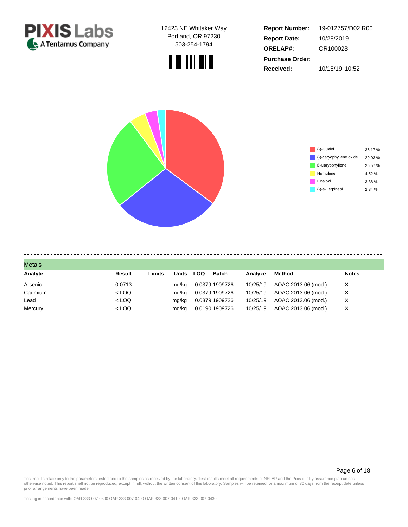



**Report Number: Report Date: ORELAP#:** 10/28/2019 OR100028 **Received:** 10/18/19 10:52 **Purchase Order:** 19-012757/D02.R00



| <b>Metals</b> |         |        |              |     |                |          |                     |              |
|---------------|---------|--------|--------------|-----|----------------|----------|---------------------|--------------|
| Analyte       | Result  | Limits | <b>Units</b> | LOQ | <b>Batch</b>   | Analyze  | Method              | <b>Notes</b> |
| Arsenic       | 0.0713  |        | mg/kg        |     | 0.0379 1909726 | 10/25/19 | AOAC 2013.06 (mod.) | х            |
| Cadmium       | $<$ LOQ |        | mg/kg        |     | 0.0379 1909726 | 10/25/19 | AOAC 2013.06 (mod.) | х            |
| Lead          | $<$ LOQ |        | mg/kg        |     | 0.0379 1909726 | 10/25/19 | AOAC 2013.06 (mod.) | х            |
| Mercury       | $<$ LOQ |        | mg/kg        |     | 0.0190 1909726 | 10/25/19 | AOAC 2013.06 (mod.) | X            |

#### Page 6 of 18